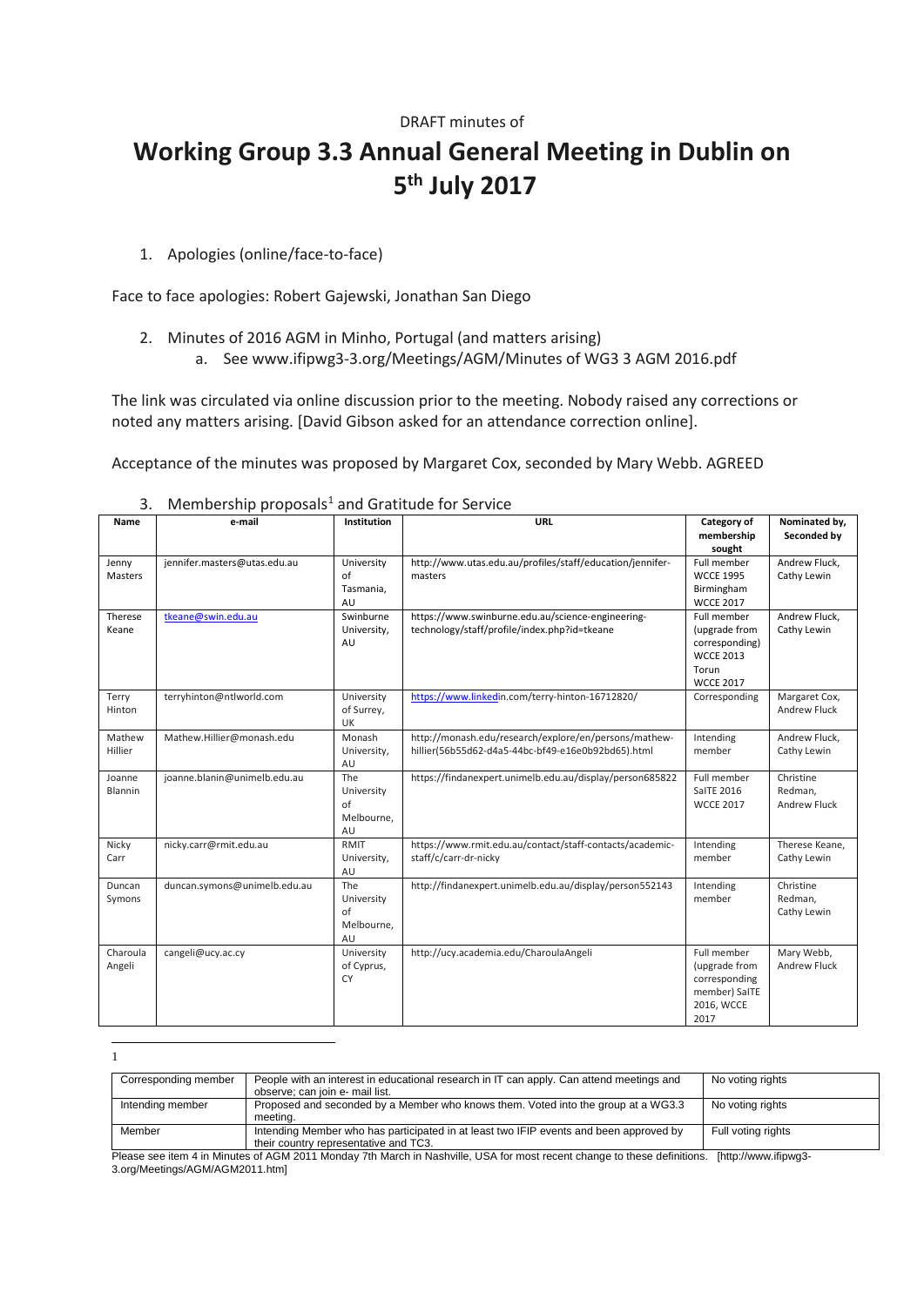# DRAFT minutes of **Working Group 3.3 Annual General Meeting in Dublin on 5th July 2017**

1. Apologies (online/face-to-face)

Face to face apologies: Robert Gajewski, Jonathan San Diego

- 2. Minutes of 2016 AGM in Minho, Portugal (and matters arising)
	- a. See www.ifipwg3-3.org/Meetings/AGM/Minutes of WG3 3 AGM 2016.pdf

The link was circulated via online discussion prior to the meeting. Nobody raised any corrections or noted any matters arising. [David Gibson asked for an attendance correction online].

Acceptance of the minutes was proposed by Margaret Cox, seconded by Mary Webb. AGREED

| Name               | e-mail                       | Institution                                 | <b>URL</b>                                                                                                  | Category of<br>membership<br>sought                                                             | Nominated by,<br>Seconded by                |
|--------------------|------------------------------|---------------------------------------------|-------------------------------------------------------------------------------------------------------------|-------------------------------------------------------------------------------------------------|---------------------------------------------|
| Jenny<br>Masters   | jennifer.masters@utas.edu.au | University<br>of<br>Tasmania,<br>AU         | http://www.utas.edu.au/profiles/staff/education/jennifer-<br>masters                                        | Full member<br><b>WCCE 1995</b><br>Birmingham<br><b>WCCE 2017</b>                               | Andrew Fluck,<br>Cathy Lewin                |
| Therese<br>Keane   | tkeane@swin.edu.au           | Swinburne<br>University,<br>AU              | https://www.swinburne.edu.au/science-engineering-<br>technology/staff/profile/index.php?id=tkeane           | Full member<br>(upgrade from<br>corresponding)<br><b>WCCE 2013</b><br>Torun<br><b>WCCE 2017</b> | Andrew Fluck,<br>Cathy Lewin                |
| Terry<br>Hinton    | terryhinton@ntlworld.com     | University<br>of Surrey,<br>UK              | https://www.linkedin.com/terry-hinton-16712820/                                                             | Corresponding                                                                                   | Margaret Cox,<br><b>Andrew Fluck</b>        |
| Mathew<br>Hillier  | Mathew.Hillier@monash.edu    | Monash<br>University,<br>AU                 | http://monash.edu/research/explore/en/persons/mathew-<br>hillier(56b55d62-d4a5-44bc-bf49-e16e0b92bd65).html | Intending<br>member                                                                             | Andrew Fluck,<br>Cathy Lewin                |
| Joanne<br>Blannin  | joanne.blanin@unimelb.edu.au | The<br>University<br>of<br>Melbourne,<br>AU | https://findanexpert.unimelb.edu.au/display/person685822                                                    | Full member<br><b>SaITE 2016</b><br><b>WCCE 2017</b>                                            | Christine<br>Redman.<br><b>Andrew Fluck</b> |
| Nicky<br>Carr      | nicky.carr@rmit.edu.au       | <b>RMIT</b><br>University,<br>AU            | https://www.rmit.edu.au/contact/staff-contacts/academic-<br>staff/c/carr-dr-nicky                           | Intending<br>member                                                                             | Therese Keane,<br>Cathy Lewin               |
| Duncan<br>Symons   | duncan.symons@unimelb.edu.au | The<br>University<br>of<br>Melbourne,<br>AU | http://findanexpert.unimelb.edu.au/display/person552143                                                     | Intending<br>member                                                                             | Christine<br>Redman,<br>Cathy Lewin         |
| Charoula<br>Angeli | cangeli@ucy.ac.cy            | University<br>of Cyprus,<br><b>CY</b>       | http://ucy.academia.edu/CharoulaAngeli                                                                      | Full member<br>(upgrade from<br>corresponding<br>member) SaITE<br>2016, WCCE<br>2017            | Mary Webb,<br><b>Andrew Fluck</b>           |

3. Membership proposals<sup>[1](#page-0-0)</sup> and Gratitude for Service

<span id="page-0-0"></span> $\overline{a}$ 1

| Corresponding member       | People with an interest in educational research in IT can apply. Can attend meetings and                                                                                                                                                                            | No voting rights                       |
|----------------------------|---------------------------------------------------------------------------------------------------------------------------------------------------------------------------------------------------------------------------------------------------------------------|----------------------------------------|
|                            |                                                                                                                                                                                                                                                                     |                                        |
|                            |                                                                                                                                                                                                                                                                     |                                        |
|                            |                                                                                                                                                                                                                                                                     |                                        |
|                            |                                                                                                                                                                                                                                                                     |                                        |
|                            |                                                                                                                                                                                                                                                                     |                                        |
|                            |                                                                                                                                                                                                                                                                     |                                        |
|                            |                                                                                                                                                                                                                                                                     |                                        |
|                            |                                                                                                                                                                                                                                                                     |                                        |
| Intending member<br>Member | observe: can join e- mail list.<br>Proposed and seconded by a Member who knows them. Voted into the group at a WG3.3<br>meetina.<br>Intending Member who has participated in at least two IFIP events and been approved by<br>their country representative and TC3. | No voting rights<br>Full voting rights |

Please see item 4 in Minutes of AGM 2011 Monday 7th March in Nashville, USA for most recent change to these definitions. [http://www.ifipwg3- 3.org/Meetings/AGM/AGM2011.htm]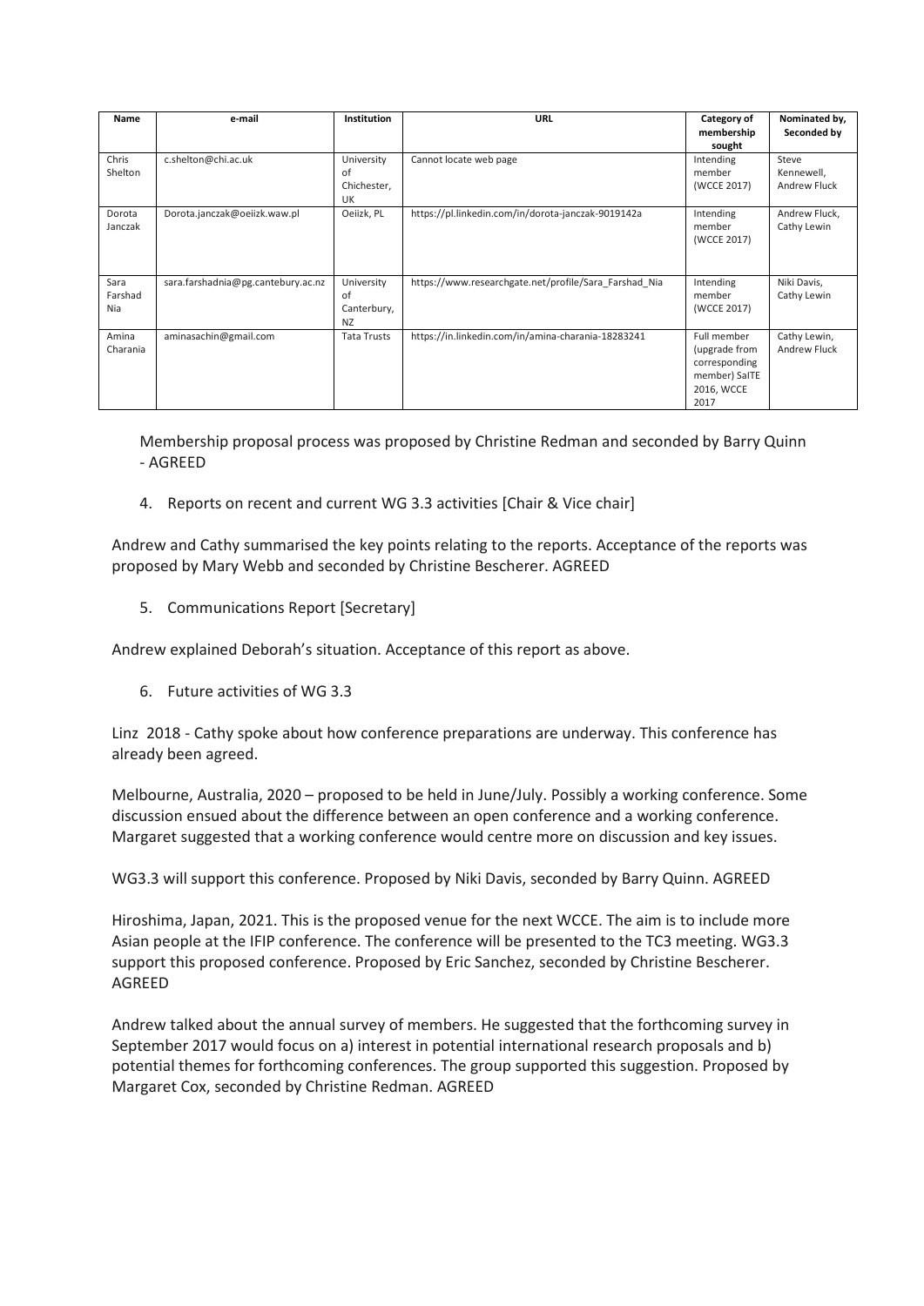| Seconded by<br>Steve<br>Kennewell, |
|------------------------------------|
|                                    |
|                                    |
|                                    |
|                                    |
| <b>Andrew Fluck</b>                |
|                                    |
| Andrew Fluck,                      |
| Cathy Lewin                        |
|                                    |
|                                    |
|                                    |
| Niki Davis,                        |
| Cathy Lewin                        |
|                                    |
|                                    |
| Cathy Lewin,                       |
| <b>Andrew Fluck</b>                |
|                                    |
|                                    |
|                                    |
|                                    |
|                                    |

Membership proposal process was proposed by Christine Redman and seconded by Barry Quinn - AGREED

4. Reports on recent and current WG 3.3 activities [Chair & Vice chair]

Andrew and Cathy summarised the key points relating to the reports. Acceptance of the reports was proposed by Mary Webb and seconded by Christine Bescherer. AGREED

5. Communications Report [Secretary]

Andrew explained Deborah's situation. Acceptance of this report as above.

6. Future activities of WG 3.3

Linz 2018 - Cathy spoke about how conference preparations are underway. This conference has already been agreed.

Melbourne, Australia, 2020 – proposed to be held in June/July. Possibly a working conference. Some discussion ensued about the difference between an open conference and a working conference. Margaret suggested that a working conference would centre more on discussion and key issues.

WG3.3 will support this conference. Proposed by Niki Davis, seconded by Barry Quinn. AGREED

Hiroshima, Japan, 2021. This is the proposed venue for the next WCCE. The aim is to include more Asian people at the IFIP conference. The conference will be presented to the TC3 meeting. WG3.3 support this proposed conference. Proposed by Eric Sanchez, seconded by Christine Bescherer. AGREED

Andrew talked about the annual survey of members. He suggested that the forthcoming survey in September 2017 would focus on a) interest in potential international research proposals and b) potential themes for forthcoming conferences. The group supported this suggestion. Proposed by Margaret Cox, seconded by Christine Redman. AGREED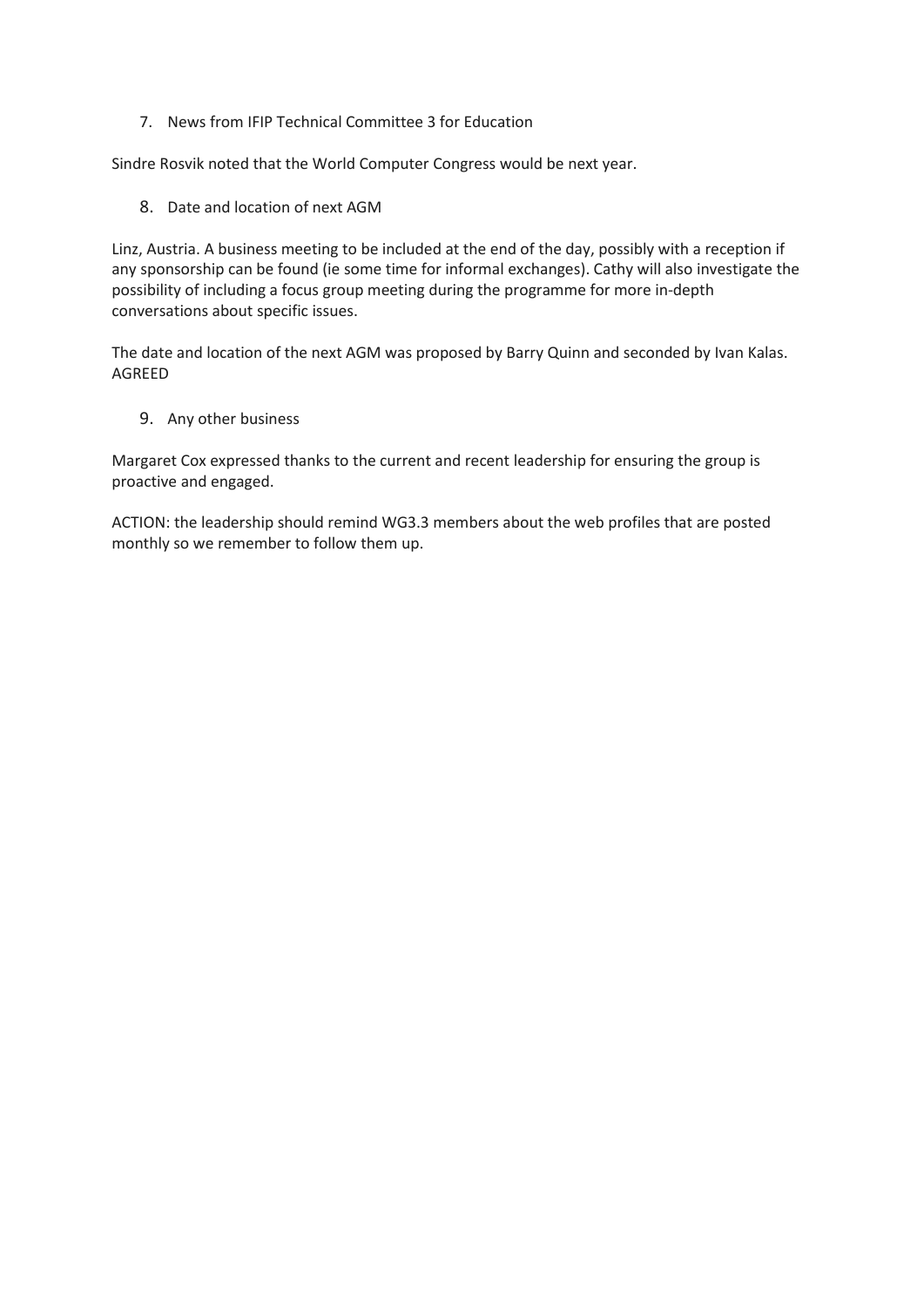7. News from IFIP Technical Committee 3 for Education

Sindre Rosvik noted that the World Computer Congress would be next year.

8. Date and location of next AGM

Linz, Austria. A business meeting to be included at the end of the day, possibly with a reception if any sponsorship can be found (ie some time for informal exchanges). Cathy will also investigate the possibility of including a focus group meeting during the programme for more in-depth conversations about specific issues.

The date and location of the next AGM was proposed by Barry Quinn and seconded by Ivan Kalas. AGREED

9. Any other business

Margaret Cox expressed thanks to the current and recent leadership for ensuring the group is proactive and engaged.

ACTION: the leadership should remind WG3.3 members about the web profiles that are posted monthly so we remember to follow them up.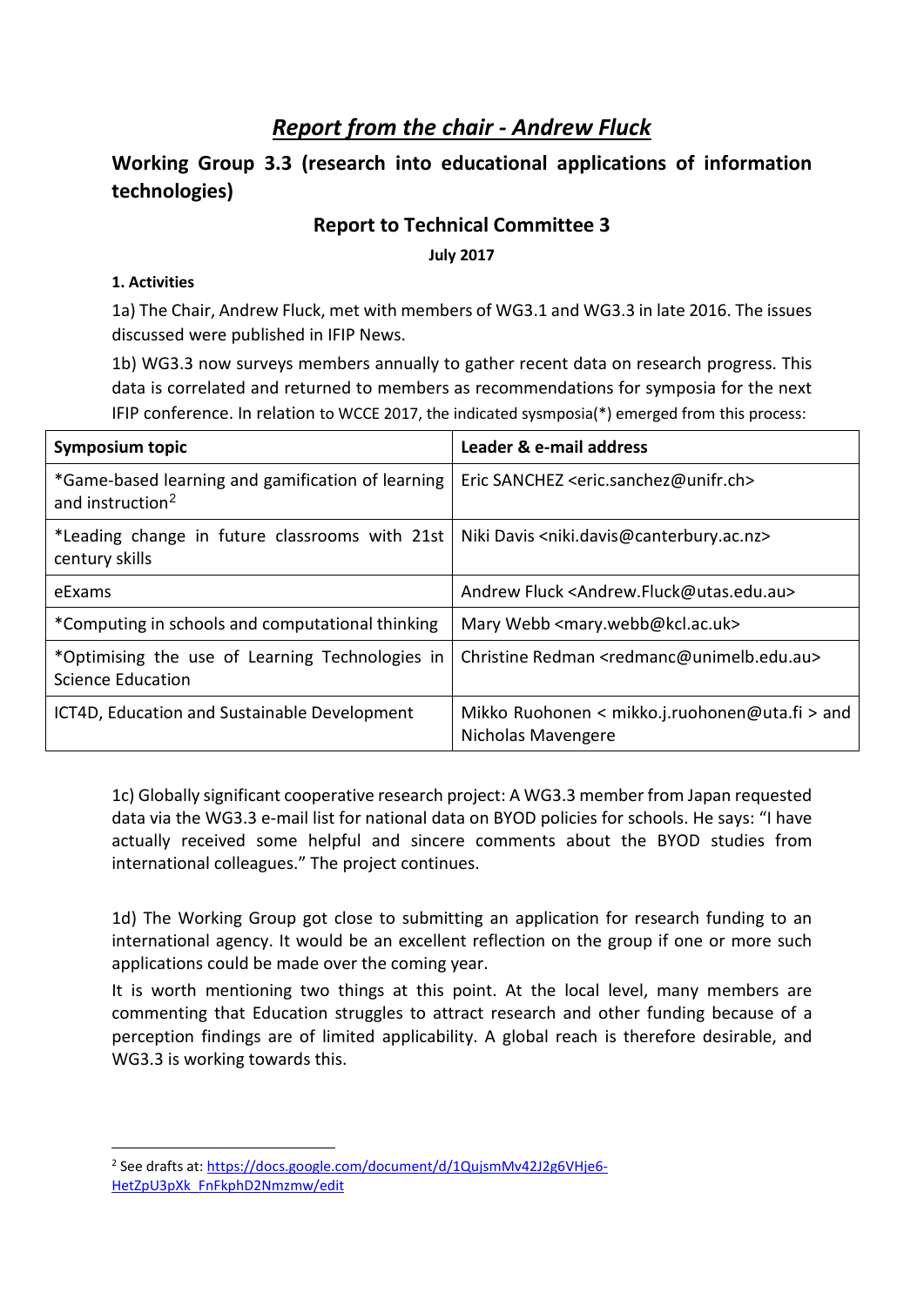## *Report from the chair - Andrew Fluck*

### **Working Group 3.3 (research into educational applications of information technologies)**

#### **Report to Technical Committee 3**

**July 2017**

#### **1. Activities**

1a) The Chair, Andrew Fluck, met with members of WG3.1 and WG3.3 in late 2016. The issues discussed were published in IFIP News.

1b) WG3.3 now surveys members annually to gather recent data on research progress. This data is correlated and returned to members as recommendations for symposia for the next IFIP conference. In relation to WCCE 2017, the indicated sysmposia(\*) emerged from this process:

| <b>Symposium topic</b>                                                            | Leader & e-mail address                                                |  |
|-----------------------------------------------------------------------------------|------------------------------------------------------------------------|--|
| *Game-based learning and gamification of learning<br>and instruction <sup>2</sup> | Eric SANCHEZ <eric.sanchez@unifr.ch></eric.sanchez@unifr.ch>           |  |
| *Leading change in future classrooms with 21st<br>century skills                  | Niki Davis <niki.davis@canterbury.ac.nz></niki.davis@canterbury.ac.nz> |  |
| eExams                                                                            | Andrew Fluck <andrew.fluck@utas.edu.au></andrew.fluck@utas.edu.au>     |  |
| *Computing in schools and computational thinking                                  | Mary Webb <mary.webb@kcl.ac.uk></mary.webb@kcl.ac.uk>                  |  |
| *Optimising the use of Learning Technologies in<br><b>Science Education</b>       | Christine Redman <redmanc@unimelb.edu.au></redmanc@unimelb.edu.au>     |  |
| ICT4D, Education and Sustainable Development                                      | Mikko Ruohonen < mikko.j.ruohonen@uta.fi > and<br>Nicholas Mavengere   |  |

1c) Globally significant cooperative research project: A WG3.3 member from Japan requested data via the WG3.3 e-mail list for national data on BYOD policies for schools. He says: "I have actually received some helpful and sincere comments about the BYOD studies from international colleagues." The project continues.

1d) The Working Group got close to submitting an application for research funding to an international agency. It would be an excellent reflection on the group if one or more such applications could be made over the coming year.

It is worth mentioning two things at this point. At the local level, many members are commenting that Education struggles to attract research and other funding because of a perception findings are of limited applicability. A global reach is therefore desirable, and WG3.3 is working towards this.

<span id="page-3-0"></span> <sup>2</sup> See drafts at[: https://docs.google.com/document/d/1QujsmMv42J2g6VHje6-](https://docs.google.com/document/d/1QujsmMv42J2g6VHje6-HetZpU3pXk_FnFkphD2Nmzmw/edit) [HetZpU3pXk\\_FnFkphD2Nmzmw/edit](https://docs.google.com/document/d/1QujsmMv42J2g6VHje6-HetZpU3pXk_FnFkphD2Nmzmw/edit)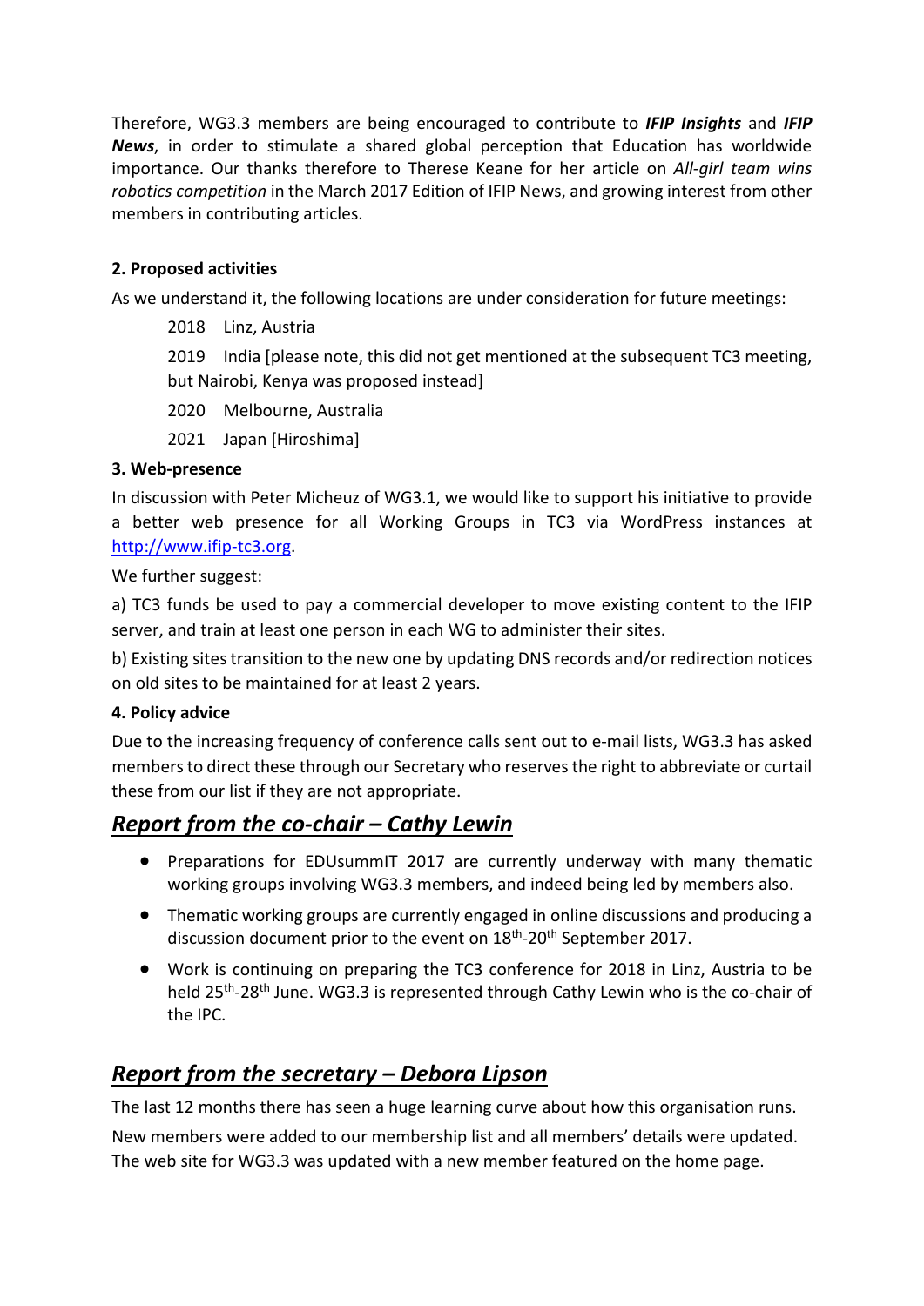Therefore, WG3.3 members are being encouraged to contribute to *IFIP Insights* and *IFIP News*, in order to stimulate a shared global perception that Education has worldwide importance. Our thanks therefore to Therese Keane for her article on *All-girl team wins robotics competition* in the March 2017 Edition of IFIP News, and growing interest from other members in contributing articles.

#### **2. Proposed activities**

As we understand it, the following locations are under consideration for future meetings:

2018 Linz, Austria

2019 India [please note, this did not get mentioned at the subsequent TC3 meeting, but Nairobi, Kenya was proposed instead]

2020 Melbourne, Australia

2021 Japan [Hiroshima]

#### **3. Web-presence**

In discussion with Peter Micheuz of WG3.1, we would like to support his initiative to provide a better web presence for all Working Groups in TC3 via WordPress instances at [http://www.ifip-tc3.org.](http://www.ifip-tc3.org/)

We further suggest:

a) TC3 funds be used to pay a commercial developer to move existing content to the IFIP server, and train at least one person in each WG to administer their sites.

b) Existing sites transition to the new one by updating DNS records and/or redirection notices on old sites to be maintained for at least 2 years.

#### **4. Policy advice**

Due to the increasing frequency of conference calls sent out to e-mail lists, WG3.3 has asked members to direct these through our Secretary who reserves the right to abbreviate or curtail these from our list if they are not appropriate.

## *Report from the co-chair – Cathy Lewin*

- Preparations for EDUsummIT 2017 are currently underway with many thematic working groups involving WG3.3 members, and indeed being led by members also.
- Thematic working groups are currently engaged in online discussions and producing a discussion document prior to the event on 18<sup>th</sup>-20<sup>th</sup> September 2017.
- Work is continuing on preparing the TC3 conference for 2018 in Linz, Austria to be held 25th-28th June. WG3.3 is represented through Cathy Lewin who is the co-chair of the IPC.

### *Report from the secretary – Debora Lipson*

The last 12 months there has seen a huge learning curve about how this organisation runs.

New members were added to our membership list and all members' details were updated. The web site for WG3.3 was updated with a new member featured on the home page.